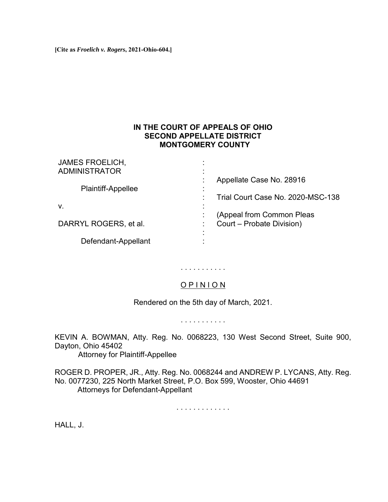**[Cite as** *Froelich v. Rogers***, 2021-Ohio-604.]**

# **IN THE COURT OF APPEALS OF OHIO SECOND APPELLATE DISTRICT MONTGOMERY COUNTY**

| <b>JAMES FROELICH,</b><br><b>ADMINISTRATOR</b> | ٠<br>٠<br>٠                                              |
|------------------------------------------------|----------------------------------------------------------|
| <b>Plaintiff-Appellee</b>                      | Appellate Case No. 28916                                 |
|                                                | $\blacksquare$<br>Trial Court Case No. 2020-MSC-138<br>٠ |
| V.                                             | (Appeal from Common Pleas                                |
| DARRYL ROGERS, et al.                          | Court - Probate Division)                                |
| Defendant-Appellant                            | ٠                                                        |

# . . . . . . . . . . .

## O P I N I O N

Rendered on the 5th day of March, 2021.

. . . . . . . . . . .

KEVIN A. BOWMAN, Atty. Reg. No. 0068223, 130 West Second Street, Suite 900, Dayton, Ohio 45402

Attorney for Plaintiff-Appellee

ROGER D. PROPER, JR., Atty. Reg. No. 0068244 and ANDREW P. LYCANS, Atty. Reg. No. 0077230, 225 North Market Street, P.O. Box 599, Wooster, Ohio 44691 Attorneys for Defendant-Appellant

. . . . . . . . . . . . .

HALL, J.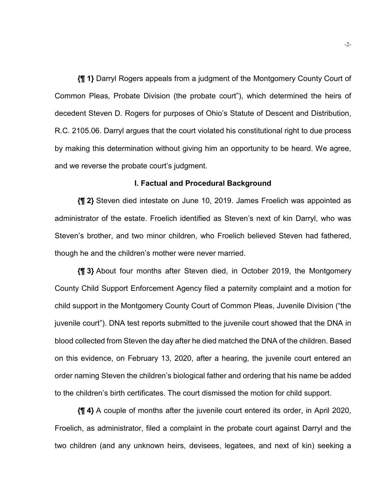**{¶ 1}** Darryl Rogers appeals from a judgment of the Montgomery County Court of Common Pleas, Probate Division (the probate court"), which determined the heirs of decedent Steven D. Rogers for purposes of Ohio's Statute of Descent and Distribution, R.C. 2105.06. Darryl argues that the court violated his constitutional right to due process by making this determination without giving him an opportunity to be heard. We agree, and we reverse the probate court's judgment.

#### **I. Factual and Procedural Background**

**{¶ 2}** Steven died intestate on June 10, 2019. James Froelich was appointed as administrator of the estate. Froelich identified as Steven's next of kin Darryl, who was Steven's brother, and two minor children, who Froelich believed Steven had fathered, though he and the children's mother were never married.

**{¶ 3}** About four months after Steven died, in October 2019, the Montgomery County Child Support Enforcement Agency filed a paternity complaint and a motion for child support in the Montgomery County Court of Common Pleas, Juvenile Division ("the juvenile court"). DNA test reports submitted to the juvenile court showed that the DNA in blood collected from Steven the day after he died matched the DNA of the children. Based on this evidence, on February 13, 2020, after a hearing, the juvenile court entered an order naming Steven the children's biological father and ordering that his name be added to the children's birth certificates. The court dismissed the motion for child support.

**{¶ 4}** A couple of months after the juvenile court entered its order, in April 2020, Froelich, as administrator, filed a complaint in the probate court against Darryl and the two children (and any unknown heirs, devisees, legatees, and next of kin) seeking a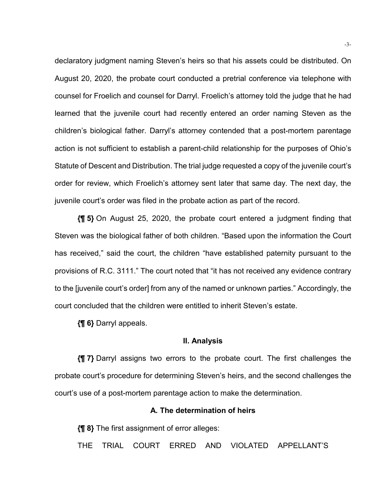declaratory judgment naming Steven's heirs so that his assets could be distributed. On August 20, 2020, the probate court conducted a pretrial conference via telephone with counsel for Froelich and counsel for Darryl. Froelich's attorney told the judge that he had learned that the juvenile court had recently entered an order naming Steven as the children's biological father. Darryl's attorney contended that a post-mortem parentage action is not sufficient to establish a parent-child relationship for the purposes of Ohio's Statute of Descent and Distribution. The trial judge requested a copy of the juvenile court's order for review, which Froelich's attorney sent later that same day. The next day, the juvenile court's order was filed in the probate action as part of the record.

**{¶ 5}** On August 25, 2020, the probate court entered a judgment finding that Steven was the biological father of both children. "Based upon the information the Court has received," said the court, the children "have established paternity pursuant to the provisions of R.C. 3111." The court noted that "it has not received any evidence contrary to the [juvenile court's order] from any of the named or unknown parties." Accordingly, the court concluded that the children were entitled to inherit Steven's estate.

**{¶ 6}** Darryl appeals.

#### **II. Analysis**

**{¶ 7}** Darryl assigns two errors to the probate court. The first challenges the probate court's procedure for determining Steven's heirs, and the second challenges the court's use of a post-mortem parentage action to make the determination.

## **A. The determination of heirs**

**{¶ 8}** The first assignment of error alleges:

THE TRIAL COURT ERRED AND VIOLATED APPELLANT'S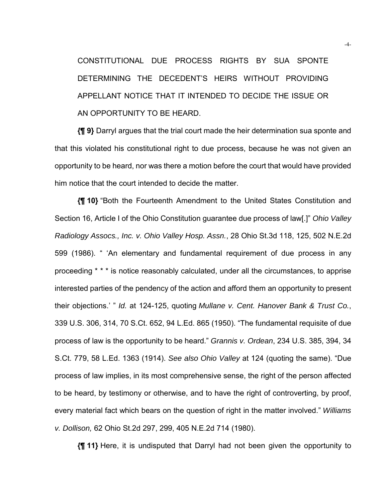CONSTITUTIONAL DUE PROCESS RIGHTS BY SUA SPONTE DETERMINING THE DECEDENT'S HEIRS WITHOUT PROVIDING APPELLANT NOTICE THAT IT INTENDED TO DECIDE THE ISSUE OR AN OPPORTUNITY TO BE HEARD.

**{¶ 9}** Darryl argues that the trial court made the heir determination sua sponte and that this violated his constitutional right to due process, because he was not given an opportunity to be heard, nor was there a motion before the court that would have provided him notice that the court intended to decide the matter.

**{¶ 10}** "Both the Fourteenth Amendment to the United States Constitution and Section 16, Article I of the Ohio Constitution guarantee due process of law[.]" *Ohio Valley Radiology Assocs., Inc. v. Ohio Valley Hosp. Assn.*, 28 Ohio St.3d 118, 125, 502 N.E.2d 599 (1986). " 'An elementary and fundamental requirement of due process in any proceeding \* \* \* is notice reasonably calculated, under all the circumstances, to apprise interested parties of the pendency of the action and afford them an opportunity to present their objections.' " *Id.* at 124-125, quoting *Mullane v. Cent. Hanover Bank & Trust Co.*, 339 U.S. 306, 314, 70 S.Ct. 652, 94 L.Ed. 865 (1950). "The fundamental requisite of due process of law is the opportunity to be heard." *Grannis v. Ordean*, 234 U.S. 385, 394, 34 S.Ct. 779, 58 L.Ed. 1363 (1914). *See also Ohio Valley* at 124 (quoting the same). "Due process of law implies, in its most comprehensive sense, the right of the person affected to be heard, by testimony or otherwise, and to have the right of controverting, by proof, every material fact which bears on the question of right in the matter involved." *Williams v. Dollison,* 62 Ohio St.2d 297, 299, 405 N.E.2d 714 (1980).

**{¶ 11}** Here, it is undisputed that Darryl had not been given the opportunity to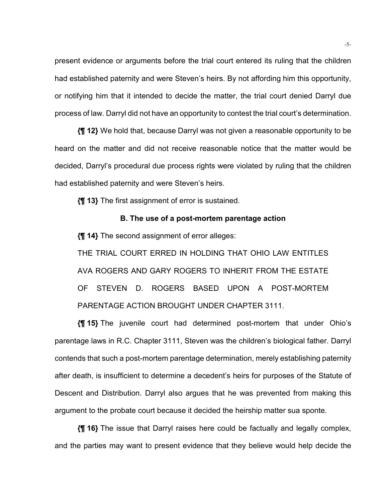present evidence or arguments before the trial court entered its ruling that the children had established paternity and were Steven's heirs. By not affording him this opportunity, or notifying him that it intended to decide the matter, the trial court denied Darryl due process of law. Darryl did not have an opportunity to contest the trial court's determination.

**{¶ 12}** We hold that, because Darryl was not given a reasonable opportunity to be heard on the matter and did not receive reasonable notice that the matter would be decided, Darryl's procedural due process rights were violated by ruling that the children had established paternity and were Steven's heirs.

**{¶ 13}** The first assignment of error is sustained.

### **B. The use of a post-mortem parentage action**

**{¶ 14}** The second assignment of error alleges:

THE TRIAL COURT ERRED IN HOLDING THAT OHIO LAW ENTITLES AVA ROGERS AND GARY ROGERS TO INHERIT FROM THE ESTATE OF STEVEN D. ROGERS BASED UPON A POST-MORTEM PARENTAGE ACTION BROUGHT UNDER CHAPTER 3111.

**{¶ 15}** The juvenile court had determined post-mortem that under Ohio's parentage laws in R.C. Chapter 3111, Steven was the children's biological father. Darryl contends that such a post-mortem parentage determination, merely establishing paternity after death, is insufficient to determine a decedent's heirs for purposes of the Statute of Descent and Distribution. Darryl also argues that he was prevented from making this argument to the probate court because it decided the heirship matter sua sponte.

**{¶ 16}** The issue that Darryl raises here could be factually and legally complex, and the parties may want to present evidence that they believe would help decide the